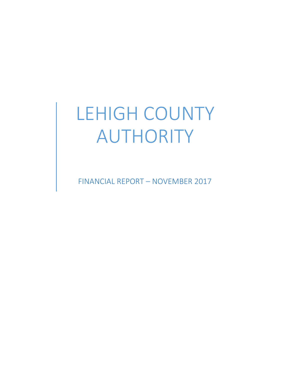# LEHIGH COUNTY AUTHORITY

FINANCIAL REPORT – NOVEMBER 2017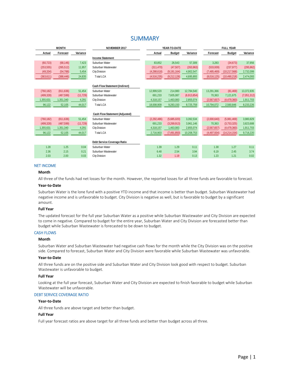# **SUMMARY**

|            | <b>MONTH</b> |           | NOVEMBER 2017                         |               | YEAR-TO-DATE  |             | <b>FULL YEAR</b> |                |             |
|------------|--------------|-----------|---------------------------------------|---------------|---------------|-------------|------------------|----------------|-------------|
| Actual     | Forecast     | Variance  |                                       | Actual        | <b>Budget</b> | Variance    | Forecast         | <b>Budget</b>  | Variance    |
|            |              |           | <b>Income Statement</b>               |               |               |             |                  |                |             |
| (60, 723)  | (68, 146)    | 7,423     | Suburban Water                        | 83.852        | 26,543        | 57,309      | 3.283            | (34,673)       | 37,956      |
| (253, 555) | (265, 512)   | 11,957    | Suburban Wastewater                   | (311, 470)    | (47, 507)     | (263,963)   | (533,939)        | (237,977)      | (295, 962)  |
| (49, 334)  | (54, 788)    | 5,454     | <b>City Division</b>                  | (4, 288, 618) | (9, 191, 164) | 4,902,547   | (7,485,469)      | (10, 217, 568) | 2,732,099   |
| (363, 611) | (388, 446)   | 24,835    | Total LCA                             | (4,516,235)   | (9,212,128)   | 4,695,893   | (8,016,125)      | (10, 490, 218) | 2,474,093   |
|            |              |           | <b>Cash Flow Statement (Indirect)</b> |               |               |             |                  |                |             |
| (760, 182) | (811, 636)   | 51,454    | Suburban Water                        | 12.999.520    | 214.980       | 12,784,540  | 13,291,366       | (81, 469)      | 13,372,835  |
| (499, 328) | (487,599)    | (11, 729) | Suburban Wastewater                   | 691,233       | 7,605,087     | (6,913,854) | 70,363           | 7,121,675      | (7,051,312) |
| 1,355,631  | 1,351,340    | 4,291     | <b>City Division</b>                  | 4,318,157     | 1,463,083     | 2,855,074   | (2,567,657)      | (4,479,360)    | 1,911,703   |
| 96,122     | 52,105       | 44,017    | Total LCA                             | 18,008,909    | 9,283,150     | 8,725,759   | 10,794,072       | 2,560,846      | 8,233,226   |
|            |              |           | <b>Cash Flow Statement (Adjusted)</b> |               |               |             |                  |                |             |
| (760, 182) | (811, 636)   | 51,454    | Suburban Water                        | (2,292,486)   | (5,685,020)   | 3,392,534   | (2,000,640)      | (5,981,469)    | 3,980,829   |
| (499, 328) | (487,599)    | (11, 729) | Suburban Wastewater                   | 691,233       | (3,269,913)   | 3,961,146   | 70,363           | (3,753,325)    | 3,823,688   |
| 1,355,631  | 1,351,340    | 4,291     | City Division                         | 4,318,157     | 1,463,083     | 2,855,074   | (2,567,657)      | (4,479,360)    | 1,911,703   |
| 96,122     | 52,105       | 44,017    | Total LCA                             | 2,716,903     | (7, 491, 850) | 10,208,753  | (4,497,934)      | (14, 214, 154) | 9,716,220   |
|            |              |           | Debt Service Coverage Ratio           |               |               |             |                  |                |             |
| 1.28       | 1.25         | 0.04      | Suburban Water                        | 1.39          | 1.29          | 0.11        | 1.38             | 1.27           | 0.11        |
| 2.36       | 2.15         | 0.21      | Suburban Wastewater                   | 6.48          | 2.54          | 3.94        | 6.19             | 2.45           | 3.74        |
| 2.03       | 2.00         | 0.03      | City Division                         | 1.32          | 1.19          | 0.13        | 1.23             | 1.21           | 0.02        |

#### NET INCOME

#### **Month**

All three of the funds had net losses for the month. However, the reported losses for all three funds are favorable to forecast.

#### **Year-to-Date**

Suburban Water is the lone fund with a positive YTD income and that income is better than budget. Suburban Wastewater had negative income and is unfavorable to budget. City Division is negative as well, but is favorable to budget by a significant amount.

#### **Full Year**

The updated forecast for the full year Suburban Water as a positive while Suburban Wastewater and City Division are expected to come in negative. Compared to budget for the entire year, Suburban Water and City Division are forecasted better than budget while Suburban Wastewater is forecasted to be down to budget.

#### CASH FLOWS

#### **Month**

Suburban Water and Suburban Wastewater had negative cash flows for the month while the City Division was on the positive side. Compared to forecast, Suburban Water and City Division were favorable while Suburban Wastewater was unfavorable.

#### **Year-to-Date**

All three funds are on the positive side and Suburban Water and City Division look good with respect to budget. Suburban Wastewater is unfavorable to budget.

#### **Full Year**

Looking at the full year forecast, Suburban Water and City Division are expected to finish favorable to budget while Suburban Wastewater will be unfavorable.

# DEBT SERVICE COVERAGE RATIO

#### **Year-to-Date**

All three funds are above target and better than budget.

#### **Full Year**

Full year forecast ratios are above target for all three funds and better than budget across all three.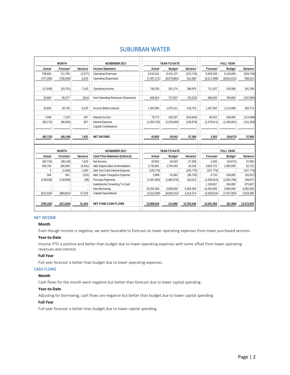# SUBURBAN WATER

|             | <b>MONTH</b> |          | NOVEMBER 2017                         |               | YEAR-TO-DATE  |                  |             | <b>FULL YEAR</b> |            |
|-------------|--------------|----------|---------------------------------------|---------------|---------------|------------------|-------------|------------------|------------|
| Actual      | Forecast     | Variance | <b>Income Statement</b>               | Actual        | <b>Budget</b> | Variance         | Forecast    | <b>Budget</b>    | Variance   |
| 709.681     | 711,758      | (2,077)  | <b>Operating Revenues</b>             | 8,215,421     | 8,431,137     | (215, 716)       | 8,929,256   | 9,134,000        | (204, 744) |
| (727, 289)  | (736, 509)   | 9,220    | Operating (Expenses)                  | (7,467,171)   | (8,079,863)   | 612,692          | (8,217,899) | (8,814,412)      | 596,513    |
|             |              |          |                                       |               |               |                  |             |                  |            |
| (17.608)    | (24, 751)    | 7.143    | Operating Income                      | 748.250       | 351.274       | 396.976          | 711.357     | 319.588          | 391,769    |
|             |              |          |                                       |               |               |                  |             |                  |            |
| 34,563      | 35,477       | (914)    | Non-Operating Revenues (Expenses)     | 649,614       | 727,837       | (78, 223)        | 686,005     | 794,000          | (107, 995) |
|             |              |          |                                       |               |               |                  |             |                  |            |
| 16.955      | 10.726       | 6.229    | Income Before Interest                | 1.397.864     | 1,079,111     | 318,753          | 1,397,362   | 1.113.588        | 283,774    |
|             |              |          |                                       |               |               |                  |             |                  |            |
| 7.495       | 7.128        | 367      | Interest Income                       | 78.772        | 183.337       | (104, 565)       | 85.532      | 200.000          | (114, 468) |
| (85, 173)   | (86,000)     | 827      | <b>Interest Expense</b>               | (1, 392, 783) | (1, 235, 905) | (156, 878)       | (1,479,611) | (1,348,261)      | (131, 350) |
|             |              |          | Capital Contributions                 |               |               |                  |             |                  |            |
|             |              |          |                                       |               |               |                  |             |                  |            |
| (60, 723)   | (68, 146)    | 7.423    | <b>NET INCOME</b>                     | 83.852        | 26.543        | 57,309           | 3.283       | (34, 673)        | 37.956     |
|             |              |          |                                       |               |               |                  |             |                  |            |
|             |              |          |                                       |               |               |                  |             |                  |            |
|             | <b>MONTH</b> |          | NOVEMBER 2017                         |               | YEAR-TO-DATE  | <b>FULL YEAR</b> |             |                  |            |
| Actual      | Forecast     | Variance | <b>Cash Flow Statement (Indirect)</b> | Actual        | <b>Budget</b> | Variance         | Forecast    | <b>Budget</b>    | Variance   |
| (60, 723)   | (68, 146)    | 7,423    | Net Income                            | 83,852        | 26,543        | 57.309           | 3.283       | (34,673)         | 37,956     |
| 260,759     | 265.000      | (4,241)  | Add: Depreciation & Amortization      | 2.733.481     | 2,704,163     | 29.318           | 3,002,722   | 2,950,000        | 52.722     |
| $\mathbf 0$ | (1,000)      | 1.000    | Add: Non-Cash Interest Expense        | (105, 776)    |               | (105, 776)       | (107, 776)  |                  | (107, 776) |
| 346         | 561          | (215)    | Add: Capex Charged to Expense         | 5,958         | 91,663        | (85, 705)        | 6,733       | 100,000          | (93, 267)  |
| (139, 038)  | (139,000)    | (38)     | <b>Principal Payments</b>             | (1,497,963)   | (1,680,976)   | 183,013          | (1,636,924) | (1,833,796)      | 196,872    |
|             |              |          | Investments Converting To Cash        |               |               |                  | 1,159,937   | 284,000          | 875,937    |
|             |              |          | New Borrowing                         | 15.292.006    | 5.900.000     | 9.392.006        | 15.292.006  | 5.900.000        | 9.392.006  |
| (821, 526)  | (869, 051)   | 47,525   | Capital Expenditures                  | (3,512,039)   | (6,826,413)   | 3,314,374        | (4,428,615) | (7, 447, 000)    | 3,018,385  |
|             |              |          |                                       |               |               |                  |             |                  |            |
| (760, 182)  | (811, 636)   | 51,454   | <b>NET FUND CASH FLOWS</b>            | 12,999,520    | 214,980       | 12,784,540       | 13,291,366  | (81, 469)        | 13,372,835 |
|             |              |          |                                       |               |               |                  |             |                  |            |

# NET INCOME

# **Month**

Even though income is negative, we were favorable to forecast on lower operating expenses from lower purchased services.

# **Year-to-Date**

Income YTD is positive and better than budget due to lower operating expenses with some offset from lower operating revenues and interest.

# **Full Year**

Full year forecast is better than budget due to lower operating expenses.

#### CASH FLOWS

### **Month**

Cash flows for the month were negative but better than forecast due to lower capital spending.

# **Year-to-Date**

Adjusting for borrowing, cash flows are negative but better than budget due to lower capital spending.

# **Full Year**

Full year forecast is better than budget due to lower capital spending.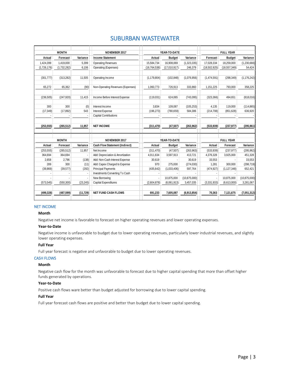# SUBURBAN WASTEWATER

|             | <b>MONTH</b> |           | NOVEMBER 2017                         |                | YEAR-TO-DATE  |                |                  | <b>FULL YEAR</b> |                |
|-------------|--------------|-----------|---------------------------------------|----------------|---------------|----------------|------------------|------------------|----------------|
| Actual      | Forecast     | Variance  | <b>Income Statement</b>               | Actual         | <b>Budget</b> | Variance       | Forecast         | <b>Budget</b>    | Variance       |
| 1,424,399   | 1,419,000    | 5,399     | <b>Operating Revenues</b>             | 15,584,734     | 16,908,069    | (1, 323, 335)  | 17,028,334       | 18,259,000       | (1,230,666)    |
| (1,726,176) | (1,732,282)  | 6,106     | Operating (Expenses)                  | (16, 764, 538) | (17,010,917)  | 246,379        | (18,502,925)     | (18,557,349)     | 54,424         |
|             |              |           |                                       |                |               |                |                  |                  |                |
| (301, 777)  | (313, 282)   | 11,505    | Operating Income                      | (1, 179, 804)  | (102, 848)    | (1,076,956)    | (1,474,591)      | (298, 349)       | (1, 176, 242)  |
|             |              |           |                                       |                |               |                |                  |                  |                |
| 65,272      | 65,362       | (90)      | Non-Operating Revenues (Expenses)     | 1,060,773      | 726,913       | 333,860        | 1,151,225        | 793,000          | 358,225        |
|             |              |           |                                       |                |               |                |                  |                  |                |
| (236, 505)  | (247, 920)   | 11,415    | Income Before Interest Expense        | (119, 031)     | 624,065       | (743,095)      | (323, 366)       | 494,651          | (818,016)      |
|             |              |           |                                       |                |               |                |                  |                  |                |
| 300         | 300          | (0)       | Interest Income                       | 3.834          | 109.087       | (105, 253)     | 4.135            | 119.000          | (114, 865)     |
| (17, 349)   | (17, 892)    | 543       | <b>Interest Expense</b>               | (196, 273)     | (780, 659)    | 584,386        | (214, 708)       | (851, 628)       | 636,920        |
|             |              |           | Capital Contributions                 |                |               |                |                  |                  |                |
|             |              |           |                                       |                |               |                |                  |                  |                |
| (253, 555)  | (265, 512)   | 11,957    | <b>NET INCOME</b>                     | (311, 470)     | (47, 507)     | (263, 962)     | (533, 939)       | (237, 977)       | (295, 961)     |
|             |              |           |                                       |                |               |                |                  |                  |                |
|             |              |           |                                       |                |               |                |                  |                  |                |
|             | <b>MONTH</b> |           | NOVEMBER 2017                         |                | YEAR-TO-DATE  |                | <b>FULL YEAR</b> |                  |                |
| Actual      | Forecast     | Variance  | <b>Cash Flow Statement (Indirect)</b> | Actual         | <b>Budget</b> | Variance       | Actual           | Forecast         | Variance       |
| (253, 555)  | (265, 512)   | 11,957    | Net Income                            | (311, 470)     | (47, 507)     | (263,963)      | (533,939)        | (237, 977)       | (295, 962)     |
| 364,694     | 364,694      |           | Add: Depreciation & Amortization      | 4,011,634      | 3,597,913     | 413,721        | 4,376,328        | 3,925,000        | 451,328        |
| 2,658       | 2,796        | (138)     | Add: Non-Cash Interest Expense        | 30,619         |               | 30,619         | 33,553           |                  | 33,553         |
| 289         | 300          | (11)      | Add: Capex Charged to Expense         | 970            | 275,000       | (274, 030)     | 1,281            | 300,000          | (298, 719)     |
| (39,869)    | (39, 577)    | (292)     | <b>Principal Payments</b>             | (435, 642)     | (1,033,406)   | 597,764        | (474, 927)       | (1, 127, 348)    | 652,421        |
|             |              |           | Investments Converting To Cash        |                |               |                |                  |                  |                |
|             |              |           | New Borrowing                         |                | 10,875,000    | (10, 875, 000) |                  | 10,875,000       | (10, 875, 000) |
| (573, 545)  | (550, 300)   | (23, 245) | Capital Expenditures                  | (2,604,878)    | (6,061,913)   | 3,457,035      | (3,331,933)      | (6,613,000)      | 3,281,067      |
|             |              |           |                                       |                |               |                |                  |                  |                |
| (499, 328)  | (487, 599)   | (11, 729) | <b>NET FUND CASH FLOWS</b>            | 691,233        | 7,605,087     | (6,913,854)    | 70,363           | 7,121,675        | (7,051,312)    |
|             |              |           |                                       |                |               |                |                  |                  |                |

# NET INCOME

# **Month**

Negative net income is favorable to forecast on higher operating revenues and lower operating expenses.

#### **Year-to-Date**

Negative income is unfavorable to budget due to lower operating revenues, particularly lower industrial revenues, and slightly lower operating expenses.

#### **Full Year**

Full year forecast is negative and unfavorable to budget due to lower operating revenues.

# CASH FLOWS

## **Month**

Negative cash flow for the month was unfavorable to forecast due to higher capital spending that more than offset higher funds generated by operations.

## **Year-to-Date**

Positive cash flows ware better than budget adjusted for borrowing due to lower capital spending.

# **Full Year**

Full year forecast cash flows are positive and better than budget due to lower capital spending.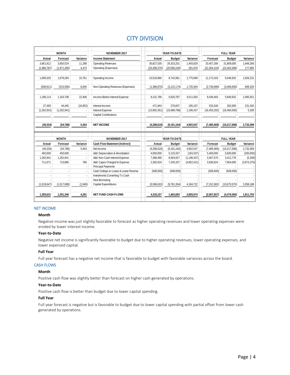# CITY DIVISION

|             | <b>MONTH</b> |           | NOVEMBER 2017                         |                | YEAR-TO-DATE   |               |                | <b>FULL YEAR</b> |             |
|-------------|--------------|-----------|---------------------------------------|----------------|----------------|---------------|----------------|------------------|-------------|
| Actual      | Forecast     | Variance  | <b>Income Statement</b>               | Actual         | <b>Budget</b>  | Variance      | Forecast       | <b>Budget</b>    | Variance    |
| 3,661,812   | 3,650,524    | 11,288    | <b>Operating Revenues</b>             | 30,827,030     | 29,333,201     | 1,493,829     | 33,457,266     | 31,809,000       | 1,648,266   |
| (1,966,787) | (1,971,260)  | 4,473     | Operating (Expenses)                  | (20, 308, 370) | (20, 590, 240) | 281,870       | (22, 284, 103) | (22, 462, 068)   | 177,965     |
|             |              |           |                                       |                |                |               |                |                  |             |
| 1,695,025   | 1,679,264    | 15,761    | Operating Income                      | 10,518,660     | 8,742,961      | 1,775,699     | 11,173,163     | 9,346,932        | 1,826,231   |
|             |              |           |                                       |                |                |               |                |                  |             |
| (508, 911)  | (515, 556)   | 6.645     | Non-Operating Revenues (Expenses)     | (1,386,870)    | (3, 122, 174)  | 1,735,304     | (2,736,680)    | (3,406,000)      | 669,320     |
| 1,186,114   | 1,163,708    | 22,406    | Income Before Interest Expense        | 9,131,790      | 5,620,787      | 3,511,003     | 8,436,483      | 5,940,932        | 2,495,551   |
|             |              |           |                                       |                |                |               |                |                  |             |
| 27,493      | 44,445       | (16, 952) | Interest Income                       | 471.944        | 276.837        | 195,107       | 533,340        | 302,000          | 231,340     |
| (1,262,941) | (1,262,941)  |           | <b>Interest Expense</b>               | (13,892,351)   | (15,088,788)   | 1,196,437     | (16, 455, 292) | (16, 460, 500)   | 5,208       |
|             |              |           | Capital Contributions                 |                |                |               |                |                  |             |
|             |              |           |                                       |                |                |               |                |                  |             |
| (49, 334)   | (54, 788)    | 5,454     | <b>NET INCOME</b>                     | (4,288,618)    | (9, 191, 164)  | 4,902,547     | (7,485,469)    | (10, 217, 568)   | 2,732,099   |
|             |              |           |                                       |                |                |               |                |                  |             |
|             | <b>MONTH</b> |           | NOVEMBER 2017                         |                | YEAR-TO-DATE   |               |                | <b>FULL YEAR</b> |             |
| Actual      | Forecast     | Variance  | <b>Cash Flow Statement (Indirect)</b> | Actual         | Budget         | Variance      | Forecast       | <b>Budget</b>    | Variance    |
| (49, 334)   | (54, 788)    | 5,454     | Net Income                            | (4,288,618)    | (9, 191, 164)  | 4,902,547     | (7,485,469)    | (10, 217, 568)   | 2,732,099   |
| 450,000     | 450,000      |           | Add: Depreciation & Amortization      | 4,950,000      | 5,133,337      | (183, 337)    | 5,400,000      | 5,600,000        | (200,000)   |
| 1,262,941   | 1,262,941    |           | Add: Non-Cash Interest Expense        | 7,368,490      | 8,564,927      | (1, 196, 437) | 3,407,570      | 3,412,778        | (5,208)     |
| 711,671     | 710,885      | 786       | Add: Capex Charged to Expense         | 2,392,916      | 7,245,337      | (4,852,421)   | 3,930,624      | 7,904,000        | (3,973,376) |
|             |              |           | <b>Principal Payments</b>             |                |                |               |                |                  |             |
|             |              |           | Cash Outlays on Lease & Lease Reserve | (508,000)      | (508,000)      |               | (508,000)      | (508,000)        |             |
|             |              |           | Investments Converting To Cash        |                |                |               |                |                  |             |
|             |              |           | New Borrowing                         |                |                |               |                |                  |             |
| (1,019,647) | (1,017,698)  | (1,949)   | Capital Expenditures                  | (5,596,632)    | (9, 781, 354)  | 4,184,722     | (7, 312, 382)  | (10,670,570)     | 3,358,188   |
| 1,355,631   | 1,351,340    | 4,291     | <b>NET FUND CASH FLOWS</b>            | 4,318,157      | 1,463,083      | 2,855,074     | (2,567,657)    | (4,479,360)      | 1,911,703   |

# NET INCOME

#### **Month**

Negative income was just slightly favorable to forecast as higher operating revenues and lower operating expenses were eroded by lower interest income.

## **Year-to-Date**

Negative net income is significantly favorable to budget due to higher operating revenues, lower operating expenses, and lower expensed capital.

### **Full Year**

Full year forecast has a negative net income that is favorable to budget with favorable variances across the board.

## CASH FLOWS

# **Month**

Positive cash flow was slightly better than forecast on higher cash generated by operations.

# **Year-to-Date**

Positive cash flow is better than budget due to lower capital spending.

# **Full Year**

Full year forecast is negative but is favorable to budget due to lower capital spending with partial offset from lower cash generated by operations.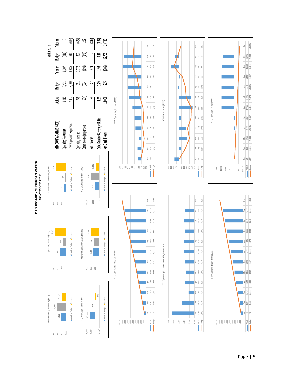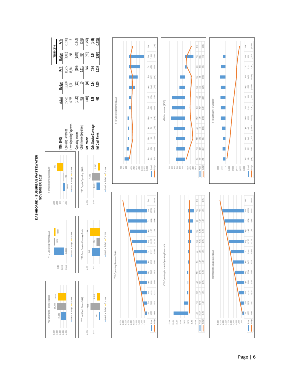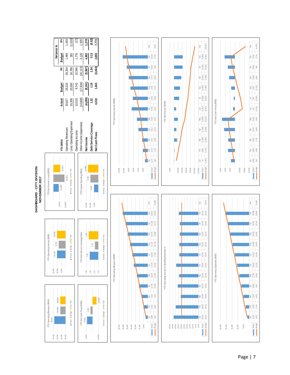

Page | 7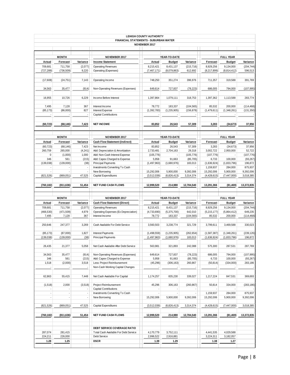|                          |              |          |                                              | <b>LEHIGH COUNTY AUTHORITY</b> |               |            |             |                  |            |
|--------------------------|--------------|----------|----------------------------------------------|--------------------------------|---------------|------------|-------------|------------------|------------|
|                          |              |          | <b>FINANCIAL STATEMENTS - SUBURBAN WATER</b> |                                |               |            |             |                  |            |
|                          |              |          |                                              | NOVEMBER 2017                  |               |            |             |                  |            |
|                          |              |          |                                              |                                |               |            |             |                  |            |
|                          |              |          |                                              |                                |               |            |             |                  |            |
|                          | <b>MONTH</b> |          | NOVEMBER 2017                                |                                | YEAR-TO-DATE  |            |             | <b>FULL YEAR</b> |            |
| Actual                   | Forecast     | Variance | <b>Income Statement</b>                      | Actual                         | <b>Budget</b> | Variance   | Forecast    | <b>Budget</b>    | Variance   |
| 709,681                  | 711,758      | (2,077)  | <b>Operating Revenues</b>                    | 8,215,421                      | 8,431,137     | (215, 716) | 8,929,256   | 9,134,000        | (204, 744) |
| (727, 289)               | (736, 509)   | 9,220    | Operating (Expenses)                         | (7,467,171)                    | (8,079,863)   | 612,692    | (8,217,899) | (8,814,412)      | 596,513    |
|                          |              |          |                                              |                                |               |            |             |                  |            |
|                          |              |          |                                              |                                |               |            |             |                  |            |
| (17,608)                 | (24, 751)    | 7,143    | Operating Income                             | 748,250                        | 351,274       | 396,976    | 711,357     | 319,588          | 391,769    |
|                          |              |          |                                              |                                |               |            |             |                  |            |
| 34,563                   | 35,477       | (914)    | Non-Operating Revenues (Expenses)            | 649,614                        | 727,837       | (78, 223)  | 686,005     | 794,000          | (107, 995) |
|                          |              |          |                                              |                                |               |            |             |                  |            |
| 16,955                   | 10,726       | 6,229    | Income Before Interest                       | 1,397,864                      | 1,079,111     | 318,753    | 1,397,362   | 1,113,588        | 283,774    |
|                          |              |          |                                              |                                |               |            |             |                  |            |
| 7,495                    | 7,128        | 367      | Interest Income                              | 78,772                         | 183,337       | (104, 565) | 85,532      | 200,000          | (114, 468) |
| (85, 173)                | (86,000)     | 827      | Interest Expense                             | (1, 392, 783)                  | (1,235,905)   | (156, 878) | (1,479,611) | (1,348,261)      | (131, 350) |
|                          |              |          | Capital Contributions                        |                                |               |            |             |                  |            |
|                          |              |          |                                              |                                |               |            |             |                  |            |
| (60, 723)                |              | 7,423    | <b>NET INCOME</b>                            | 83,852                         | 26,543        | 57,309     | 3,283       |                  | 37,956     |
|                          | (68, 146)    |          |                                              |                                |               |            |             | (34, 673)        |            |
|                          |              |          |                                              |                                |               |            |             |                  |            |
|                          |              |          |                                              |                                |               |            |             |                  |            |
|                          | <b>MONTH</b> |          | NOVEMBER 2017                                |                                | YEAR-TO-DATE  |            |             | <b>FULL YEAR</b> |            |
| Actual                   | Forecast     | Variance | Cash Flow Statement (Indirect)               | Actual                         | <b>Budget</b> | Variance   | Forecast    | <b>Budget</b>    | Variance   |
| (60, 723)                | (68, 146)    | 7,423    | Net Income                                   | 83,852                         | 26,543        | 57,309     | 3,283       | (34,673)         | 37,956     |
| 260,759                  | 265,000      | (4,241)  | Add: Depreciation & Amortization             | 2,733,481                      | 2,704,163     | 29,318     | 3,002,722   | 2,950,000        | 52,722     |
| $\boldsymbol{0}$         | (1,000)      | 1,000    | Add: Non-Cash Interest Expense               | (105, 776)                     |               | (105, 776) | (107, 776)  |                  | (107, 776) |
| 346                      | 561          | (215)    | Add: Capex Charged to Expense                | 5,958                          | 91,663        | (85, 705)  | 6,733       | 100,000          | (93, 267)  |
|                          |              |          |                                              |                                |               |            |             |                  |            |
| (139, 038)               | (139,000)    | (38)     | <b>Principal Payments</b>                    | (1, 497, 963)                  | (1,680,976)   | 183,013    | (1,636,924) | (1,833,796)      | 196,872    |
|                          |              |          | Investments Converting To Cash               |                                |               |            | 1,159,937   | 284,000          | 875,937    |
|                          |              |          | New Borrowing                                | 15,292,006                     | 5,900,000     | 9,392,006  | 15,292,006  | 5,900,000        | 9,392,006  |
| (821, 526)               | (869,051)    | 47,525   | Capital Expenditures                         | (3,512,039)                    | (6,826,413)   | 3,314,374  | (4,428,615) | (7, 447, 000)    | 3,018,385  |
|                          |              |          |                                              |                                |               |            |             |                  |            |
| (760, 182)               | (811, 636)   | 51,454   | <b>NET FUND CASH FLOWS</b>                   | 12,999,520                     | 214,980       | 12,784,540 | 13,291,366  | (81, 469)        | 13,372,835 |
|                          |              |          |                                              |                                |               |            |             |                  |            |
|                          |              |          |                                              |                                |               |            |             |                  |            |
|                          |              |          |                                              |                                |               |            |             |                  |            |
|                          | <b>MONTH</b> |          | NOVEMBER 2017                                |                                | YEAR-TO-DATE  |            |             | <b>FULL YEAR</b> |            |
|                          |              |          |                                              |                                |               |            |             |                  |            |
| Actual                   | Forecast     | Variance | <b>Cash Flow Statement (Direct)</b>          | Actual                         | <b>Budget</b> | Variance   | Forecast    | Budget           | Variance   |
| 709,681                  | 711,758      | (2,077)  | <b>Operating Revenues</b>                    | 8,215,421                      | 8,431,137     | (215, 716) | 8,929,256   | 9,134,000        | (204, 744) |
| (466, 530)               | (471, 509)   | 4,979    | Operating Expenses (Ex Depreciation)         | (4,733,690)                    | (5,375,700)   | 642,010    | (5,215,177) | (5,864,412)      | 649,235    |
| 7,495                    | 7,128        | 367      | Interest Income                              | 78,772                         | 183,337       | (104, 565) | 85,532      | 200,000          | (114, 468) |
|                          |              |          |                                              |                                |               |            |             |                  |            |
| 250,646                  | 247,377      | 3,269    | Cash Available For Debt Service              | 3,560,503                      | 3,238,774     | 321,729    | 3,799,611   | 3,469,588        | 330,023    |
|                          |              |          |                                              |                                |               |            |             |                  |            |
| (85, 173)                | (87,000)     | 1,827    | <b>Interest Payments</b>                     | (1,498,559)                    | (1,235,905)   | (262, 654) | (1,587,387) | (1,348,261)      | (239, 126) |
| (139, 038)               | (139,000)    | (38)     | <b>Principal Payments</b>                    | (1,497,963)                    | (1,680,976)   | 183,013    | (1,636,924) | (1,833,796)      | 196,872    |
|                          |              |          |                                              |                                |               |            |             |                  |            |
|                          |              |          |                                              |                                |               |            |             |                  |            |
| 26,435                   | 21,377       | 5,058    | Net Cash Available After Debt Service        | 563,981                        | 321,893       | 242,088    | 575,300     | 287,531          | 287,769    |
|                          |              |          |                                              |                                |               |            |             |                  |            |
| 34,563                   | 35,477       | (914)    | Non-Operating Revenues (Expenses)            | 649,614                        | 727,837       | (78, 223)  | 686,005     | 794,000          | (107, 995) |
| 346                      | 561          | (215)    | Add: Capex Charged to Expense                | 5,958                          | 91,663        | (85, 705)  | 6,733       | 100,000          | (93, 267)  |
| 1,518                    | (2,000)      | 3,518    | Less: Project Reimbursement                  | (45, 296)                      | (306, 163)    | 260,867    | (50, 814)   | (334,000)        | 283,186    |
|                          |              |          | Non-Cash Working Capital Changes             |                                |               |            |             |                  |            |
|                          |              |          |                                              |                                |               |            |             |                  |            |
| 62,863                   | 55,415       | 7,448    | Net Cash Available For Capital               | 1,174,257                      | 835,230       | 339,027    |             | 847,531          | 369,693    |
|                          |              |          |                                              |                                |               |            | 1,217,224   |                  |            |
|                          |              |          |                                              |                                |               |            |             |                  |            |
| (1,518)                  | 2,000        | (3,518)  | Project Reimbursement                        | 45,296                         | 306,163       | (260, 867) | 50,814      | 334,000          | (283, 186) |
|                          |              |          | Capital Contributions                        |                                |               |            |             |                  |            |
| $\overline{\phantom{a}}$ | ×,           | ×        | Investments Converting To Cash               |                                | ×,            |            | 1,159,937   | 284,000          | 875,937    |
| ÷,                       |              |          | New Borrowing                                | 15,292,006                     | 5,900,000     | 9,392,006  | 15,292,006  | 5,900,000        | 9,392,006  |
|                          |              |          |                                              |                                |               |            |             |                  |            |
| (821, 526)               | (869,051)    | 47,525   | Capital Expenditures                         | (3,512,039)                    | (6,826,413)   | 3,314,374  | (4,428,615) | (7, 447, 000)    | 3,018,385  |
|                          |              |          |                                              |                                |               |            |             |                  |            |
| (760, 182)               | (811, 636)   | 51,454   | <b>NET FUND CASH FLOWS</b>                   | 12,999,520                     | 214,980       | 12,784,540 | 13,291,366  | (81, 469)        | 13,372,835 |
|                          |              |          |                                              |                                |               |            |             |                  |            |
|                          |              |          |                                              |                                |               |            |             |                  |            |
|                          |              |          |                                              |                                |               |            |             |                  |            |
|                          |              |          | DEBT SERVICE COVERAGE RATIO                  |                                |               |            |             |                  |            |
| 287,074                  | 281,415      |          | Total Cash Available For Debt Service        | 4,170,779                      | 3,752,111     |            | 4,441,535   | 4,029,588        |            |
| 224,211                  | 226,000      |          | Debt Service                                 | 2,996,522                      | 2,916,881     |            | 3,224,311   | 3,182,057        |            |
| 1.28                     | 1.25         |          | <b>DSCR</b>                                  | 1.39                           | 1.29          |            | 1.38        | 1.27             |            |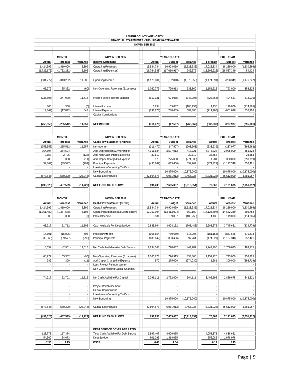|                          |                               |                          | FINANCIAL STATEMENTS - SUBURBAN WASTEWATER                           | LEHIGH COUNTY AUTHORITY  |                          |                          |                          |                          |                                                                                           |  |
|--------------------------|-------------------------------|--------------------------|----------------------------------------------------------------------|--------------------------|--------------------------|--------------------------|--------------------------|--------------------------|-------------------------------------------------------------------------------------------|--|
|                          |                               |                          |                                                                      | NOVEMBER 2017            |                          |                          |                          |                          |                                                                                           |  |
|                          | <b>MONTH</b>                  |                          | NOVEMBER 2017                                                        |                          | YEAR-TO-DATE             |                          |                          | <b>FULL YEAR</b>         |                                                                                           |  |
| Actual                   | Forecast                      | Variance                 | <b>Income Statement</b>                                              | Actual                   | Budget                   | Variance                 | Forecast                 | <b>Budget</b>            | Variance                                                                                  |  |
| 1,424,399                | 1,419,000                     | 5,399                    | <b>Operating Revenues</b>                                            | 15,584,734               | 16,908,069               | (1, 323, 335)            | 17,028,334               | 18,259,000               | (1,230,666)                                                                               |  |
| (1,726,176)              | (1,732,282)                   | 6,106                    | Operating (Expenses)                                                 | (16, 764, 538)           | (17,010,917)             | 246,379                  | (18,502,925)             | (18, 557, 349)           | 54,424                                                                                    |  |
| (301, 777)               | (313, 282)                    | 11,505                   | Operating Income                                                     | (1, 179, 804)            | (102, 848)               | (1,076,956)              | (1,474,591)              | (298, 349)               | (1, 176, 242)                                                                             |  |
| 65,272                   | 65,362                        | (90)                     | Non-Operating Revenues (Expenses)                                    | 1,060,773                | 726,913                  | 333,860                  | 1,151,225                | 793,000                  | 358,225                                                                                   |  |
|                          |                               |                          |                                                                      |                          |                          |                          |                          |                          |                                                                                           |  |
| (236, 505)               | (247, 920)                    | 11,415                   | Income Before Interest Expense                                       | (119, 031)               | 624,065                  | (743,095)                | (323, 366)               | 494,651                  | (818, 016)                                                                                |  |
| 300                      | 300                           | (0)                      | Interest Income                                                      | 3,834                    | 109,087                  | (105, 253)               | 4,135                    | 119,000                  | (114, 865)                                                                                |  |
| (17, 349)                | (17, 892)                     | 543                      | Interest Expense                                                     | (196, 273)               | (780, 659)               | 584,386                  | (214, 708)               | (851, 628)               | 636,920                                                                                   |  |
|                          |                               |                          | Capital Contributions                                                |                          |                          |                          |                          |                          |                                                                                           |  |
| (253, 555)               | (265, 512)                    | 11,957                   | <b>NET INCOME</b>                                                    | (311, 470)               | (47, 507)                | (263, 962)               | (533, 939)               | (237, 977)               | (295, 961)                                                                                |  |
|                          |                               |                          |                                                                      |                          |                          |                          |                          |                          |                                                                                           |  |
|                          | <b>MONTH</b>                  |                          | NOVEMBER 2017                                                        |                          | YEAR-TO-DATE             |                          | <b>FULL YEAR</b>         |                          |                                                                                           |  |
| Actual                   | Forecast                      | Variance                 | Cash Flow Statement (Indirect)                                       | Actual                   | <b>Budget</b>            | Variance                 | Actual                   | Forecast                 | Variance                                                                                  |  |
| (253, 555)               | (265, 512)                    | 11,957                   | Net Income                                                           | (311, 470)               | (47, 507)                | (263,963)                | (533,939)                | (237, 977)               | (295, 962)                                                                                |  |
| 364,694<br>2,658         | 364,694<br>2,796              | (138)                    | Add: Depreciation & Amortization<br>Add: Non-Cash Interest Expense   | 4,011,634<br>30,619      | 3,597,913                | 413,721<br>30,619        | 4,376,328<br>33,553      | 3,925,000                | 451,328<br>33,553                                                                         |  |
| 289                      | 300                           | (11)                     | Add: Capex Charged to Expense                                        | 970                      | 275,000                  | (274, 030)               | 1,281                    | 300,000                  | (298, 719)                                                                                |  |
| (39,869)                 | (39, 577)                     | (292)                    | Principal Payments                                                   | (435, 642)               | (1,033,406)              | 597,764                  | (474, 927)               | (1, 127, 348)            | 652,421                                                                                   |  |
|                          |                               |                          | Investments Converting To Cash                                       |                          |                          |                          |                          |                          |                                                                                           |  |
|                          |                               |                          | New Borrowing                                                        | ł,                       | 10,875,000               | (10, 875, 000)           |                          | 10,875,000               | (10, 875, 000)                                                                            |  |
| (573, 545)               | (550, 300)                    | (23, 245)                | Capital Expenditures                                                 | (2,604,878)              | (6,061,913)              | 3,457,035                | (3,331,933)              | (6,613,000)              | 3,281,067                                                                                 |  |
| (499, 328)               | (487, 599)                    | (11, 729)                | <b>NET FUND CASH FLOWS</b>                                           | 691,233                  | 7,605,087                | (6,913,854)              | 70,363                   | 7,121,675                | (7,051,312)                                                                               |  |
|                          |                               |                          |                                                                      |                          |                          |                          |                          |                          |                                                                                           |  |
|                          | <b>MONTH</b>                  |                          | NOVEMBER 2017                                                        |                          | YEAR-TO-DATE             |                          |                          | <b>FULL YEAR</b>         |                                                                                           |  |
| Actual                   | Forecast                      | Variance                 | <b>Cash Flow Statement (Direct)</b>                                  | Actual                   | Budget                   | Variance                 | Actual                   | Forecast                 | Variance                                                                                  |  |
| 1,424,399                | 1,419,000                     | 5,399                    | <b>Operating Revenues</b>                                            | 15,584,734               | 16,908,069               | (1, 323, 335)            | 17,028,334               | 18,259,000               | (1,230,666)                                                                               |  |
| (1,361,482)              | (1, 367, 588)                 | 6,106                    | Operating Expenses (Ex Depreciation)                                 | (12, 752, 904)           | (13, 413, 004)           | 660,100                  | (14, 126, 597)           | (14,632,349)             | 505,752                                                                                   |  |
| 300                      | 300                           | (0)                      | Interest Income                                                      | 3,834                    | 109,087                  | (105, 253)               | 4,135                    | 119,000                  | (114, 865)                                                                                |  |
| 63,217                   | 51,712                        | 11,505                   | Cash Available For Debt Service                                      | 2,835,664                | 3,604,152                | (768, 488)               | 2,905,872                | 3,745,651                | (839, 779)                                                                                |  |
| (14,691)                 | (15,096)                      | 405                      | <b>Interest Payments</b>                                             | (165, 654)               | (780, 659)               | 615,005                  | (181, 155)               | (851, 628)               | 670,473                                                                                   |  |
| (39, 869)                | (39, 577)                     | (292)                    | Principal Payments                                                   | (435, 642)               | (1,033,406)              | 597,764                  | (474, 927)               | (1, 127, 348)            | 652,421                                                                                   |  |
| 8,657                    | (2,961)                       |                          |                                                                      |                          |                          |                          |                          |                          |                                                                                           |  |
|                          |                               | 11,618                   | Net Cash Available After Debt Service                                | 2,234,368                | 1,790,087                | 444,281                  | 2,249,790                | 1,766,675                |                                                                                           |  |
|                          |                               |                          |                                                                      |                          |                          |                          |                          |                          |                                                                                           |  |
| 65,272                   | 65,362                        | (90)                     | Non-Operating Revenues (Expenses)                                    | 1,060,773                | 726,913                  | 333,860                  | 1,151,225                | 793,000                  |                                                                                           |  |
| 289                      | 300                           | (11)                     | Add: Capex Charged to Expense                                        | 970                      | 275,000                  | (274, 030)               | 1,281                    | 300,000                  |                                                                                           |  |
|                          | $\sim$                        |                          | Less: Project Reimbursement<br>Non-Cash Working Capital Changes      | $\overline{\phantom{a}}$ |                          |                          | $\overline{\phantom{a}}$ |                          |                                                                                           |  |
|                          |                               |                          |                                                                      |                          |                          |                          |                          |                          |                                                                                           |  |
| 74,217                   | 62,701                        | 11,516                   | Net Cash Available For Capital                                       | 3,296,111                | 2,792,000                | 504,111                  | 3,402,296                | 2,859,675                |                                                                                           |  |
| $\overline{\phantom{a}}$ | $\overline{\phantom{a}}$      | ×                        | Project Reimbursement                                                | $\overline{\phantom{a}}$ | $\epsilon$               | $\epsilon$               |                          |                          |                                                                                           |  |
| ×,                       | $\overline{\phantom{a}}$      | $\overline{\phantom{a}}$ | Capital Contributions                                                | ×                        | $\overline{\phantom{a}}$ | $\overline{\phantom{a}}$ |                          | $\overline{\phantom{a}}$ |                                                                                           |  |
| ×,<br>i,                 | ×<br>$\overline{\phantom{a}}$ |                          | Investments Converting To Cash<br>New Borrowing                      | ä,<br>×                  | 10,875,000               | (10, 875, 000)           |                          | 10,875,000               |                                                                                           |  |
| (573, 545)               | (550, 300)                    | (23, 245)                | Capital Expenditures                                                 | (2,604,878)              | (6,061,913)              | 3,457,035                | (3,331,933)              | (6,613,000)              |                                                                                           |  |
|                          |                               |                          |                                                                      |                          |                          |                          |                          |                          |                                                                                           |  |
| (499, 328)               | (487, 599)                    | (11, 729)                | <b>NET FUND CASH FLOWS</b>                                           | 691,233                  | 7,605,087                | (6,913,854)              | 70,363                   | 7,121,675                |                                                                                           |  |
|                          |                               |                          |                                                                      |                          |                          |                          |                          |                          |                                                                                           |  |
| 128,778                  | 117,374                       |                          | DEBT SERVICE COVERAGE RATIO<br>Total Cash Available For Debt Service | 3,897,407                | 4,606,065                |                          | 4,058,378                | 4,838,651                |                                                                                           |  |
| 54,560                   | 54,673                        |                          | Debt Service                                                         | 601,296                  | 1,814,065                |                          | 656,082                  | 1,978,976                | 483,115<br>358,225<br>(298, 719)<br>542,621<br>(10, 875, 000)<br>3,281,067<br>(7,051,312) |  |
| 2.36                     | 2.15                          |                          | <b>DSCR</b>                                                          | 6.48                     | 2.54                     |                          | 6.19                     | 2.45                     |                                                                                           |  |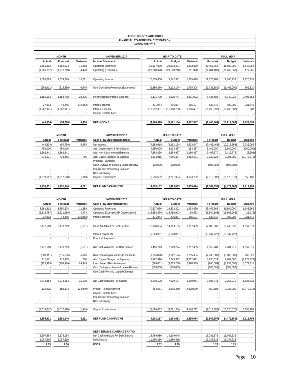|                          |                          |                          |                                                   | LEHIGH COUNTY AUTHORITY  |                                       |                          |                |                              |                      |
|--------------------------|--------------------------|--------------------------|---------------------------------------------------|--------------------------|---------------------------------------|--------------------------|----------------|------------------------------|----------------------|
|                          |                          |                          | FINANCIAL STATEMENTS - CITY DIVISION              |                          |                                       |                          |                |                              |                      |
|                          |                          |                          |                                                   | NOVEMBER 2017            |                                       |                          |                |                              |                      |
|                          |                          |                          |                                                   |                          |                                       |                          |                |                              |                      |
|                          | <b>MONTH</b>             |                          | NOVEMBER 2017                                     |                          | YEAR-TO-DATE                          |                          |                | <b>FULL YEAR</b>             |                      |
| Actual                   | Forecast                 | Variance                 | <b>Income Statement</b>                           | Actual                   | <b>Budget</b>                         | Variance                 | Forecast       | <b>Budget</b>                | Variance             |
|                          | 3,650,524                |                          |                                                   |                          |                                       |                          |                |                              |                      |
| 3,661,812                | (1,971,260)              | 11,288                   | <b>Operating Revenues</b><br>Operating (Expenses) | 30,827,030               | 29,333,201<br>(20, 590, 240)          | 1,493,829                | 33,457,266     | 31,809,000<br>(22, 462, 068) | 1,648,266<br>177,965 |
| (1,966,787)              |                          | 4,473                    |                                                   | (20, 308, 370)           |                                       | 281,870                  | (22, 284, 103) |                              |                      |
|                          |                          |                          |                                                   |                          |                                       |                          |                |                              |                      |
| 1,695,025                | 1,679,264                | 15,761                   | Operating Income                                  | 10,518,660               | 8,742,961                             | 1,775,699                | 11,173,163     | 9,346,932                    | 1,826,231            |
| (508, 911)               | (515, 556)               | 6,645                    | Non-Operating Revenues (Expenses)                 | (1,386,870)              | (3, 122, 174)                         | 1,735,304                | (2,736,680)    | (3,406,000)                  | 669,320              |
|                          |                          |                          |                                                   |                          |                                       |                          |                |                              |                      |
| 1,186,114                | 1,163,708                | 22,406                   | Income Before Interest Expense                    | 9,131,790                | 5,620,787                             | 3,511,003                | 8,436,483      | 5,940,932                    | 2,495,551            |
|                          |                          |                          |                                                   |                          |                                       |                          |                |                              |                      |
| 27,493                   | 44,445                   | (16, 952)                | Interest Income                                   | 471,944                  | 276,837                               | 195,107                  | 533,340        | 302,000                      | 231,340              |
| (1,262,941)              | (1,262,941)              | J,                       | <b>Interest Expense</b>                           | (13,892,351)             | (15,088,788)                          | 1,196,437                | (16, 455, 292) | (16, 460, 500)               | 5,208                |
|                          |                          | ÷,                       | Capital Contributions                             |                          |                                       | $\cdot$                  |                |                              |                      |
|                          |                          |                          |                                                   |                          |                                       |                          |                |                              |                      |
| (49, 334)                | (54, 788)                | 5,454                    | <b>NET INCOME</b>                                 | (4, 288, 618)            | (9, 191, 164)                         | 4,902,547                | (7,485,469)    | (10, 217, 568)               | 2,732,099            |
|                          |                          |                          |                                                   |                          |                                       |                          |                |                              |                      |
|                          |                          |                          |                                                   |                          |                                       |                          |                |                              |                      |
|                          | <b>MONTH</b>             |                          | NOVEMBER 2017                                     |                          | YEAR-TO-DATE                          |                          |                | <b>FULL YEAR</b>             |                      |
| Actual                   | Forecast                 | Variance                 | Cash Flow Statement (Indirect)                    | Actual                   | Budget                                | Variance                 | Forecast       | <b>Budget</b>                | Variance             |
| (49, 334)                | (54, 788)                | 5,454                    | Net Income                                        | (4, 288, 618)            | (9, 191, 164)                         | 4,902,547                | (7,485,469)    | (10, 217, 568)               | 2,732,099            |
| 450,000                  | 450,000                  | J,                       | Add: Depreciation & Amortization                  | 4,950,000                | 5,133,337                             | (183, 337)               | 5,400,000      | 5,600,000                    | (200,000)            |
| 1,262,941                | 1,262,941                | J,                       | Add: Non-Cash Interest Expense                    | 7,368,490                | 8,564,927                             | (1, 196, 437)            | 3,407,570      | 3,412,778                    | (5,208)              |
| 711,671                  | 710,885                  | 786                      | Add: Capex Charged to Expense                     | 2,392,916                | 7,245,337                             | (4,852,421)              | 3,930,624      | 7,904,000                    | (3,973,376)          |
|                          |                          | ×,                       | <b>Principal Payments</b>                         |                          |                                       | ä,                       |                |                              |                      |
| ×,                       | ł,                       | ÷,                       | Cash Outlays on Lease & Lease Reserve             | (508,000)                | (508,000)                             | ÷.                       | (508,000)      | (508,000)                    |                      |
| i,                       | ł,                       | ł,                       | Investments Converting To Cash                    |                          |                                       | i,                       |                |                              |                      |
|                          |                          |                          | New Borrowing                                     |                          |                                       |                          |                |                              |                      |
| (1,019,647)              | (1,017,698)              | (1,949)                  | Capital Expenditures                              | (5,596,632)              | (9, 781, 354)                         | 4,184,722                | (7, 312, 382)  | (10,670,570)                 | 3,358,188            |
|                          |                          |                          |                                                   |                          |                                       |                          |                |                              |                      |
| 1,355,631                | 1,351,340                | 4,291                    | <b>NET FUND CASH FLOWS</b>                        | 4,318,157                | 1,463,083                             | 2,855,074                | (2,567,657)    | (4,479,360)                  | 1,911,703            |
|                          |                          |                          |                                                   |                          |                                       |                          |                |                              |                      |
|                          |                          |                          |                                                   |                          |                                       |                          |                |                              |                      |
|                          |                          |                          |                                                   |                          |                                       |                          |                |                              |                      |
|                          | <b>MONTH</b>             |                          | NOVEMBER 2017                                     |                          | YEAR-TO-DATE                          |                          |                | <b>FULL YEAR</b>             |                      |
| Actual                   | Forecast                 | Variance                 | <b>Cash Flow Statement (Direct)</b>               | Actual                   | <b>Budget</b>                         | Variance                 | Forecast       | <b>Budget</b>                | Variance             |
| 3,661,812                | 3,650,524                | 11,288                   | <b>Operating Revenues</b>                         | 30,827,030               | 29,333,201                            | 1,493,829                | 33,457,266     | 31,809,000                   | 1,648,266            |
| (1,516,787)              | (1,521,260)              | 4,473                    | Operating Expenses (Ex Depreciation)              | (15, 358, 370)           | (15, 456, 903)                        | 98,533                   | (16,884,103)   | (16, 862, 068)               | (22, 035)            |
| 27,493                   | 44,445                   | (16, 952)                | Interest Income                                   | 471,944                  | 276,837                               | 195,107                  | 533,340        | 302,000                      | 231,340              |
|                          |                          |                          |                                                   |                          |                                       |                          |                |                              |                      |
| 2,172,518                | 2,173,709                | (1, 191)                 | Cash Available For Debt Service                   | 15,940,604               | 14, 153, 135                          | 1,787,469                | 17,106,503     | 15,248,932                   | 1,857,571            |
| $\overline{\phantom{a}}$ | ÷,                       | ÷,                       | <b>Interest Payments</b>                          |                          |                                       |                          |                | (13,047,722)                 |                      |
|                          |                          |                          | <b>Principal Payments</b>                         | (6,523,861)              | (6,523,861)                           |                          | (13,047,722)   |                              |                      |
|                          |                          |                          |                                                   |                          |                                       |                          |                |                              |                      |
| 2,172,518                | 2,173,709                | (1, 191)                 | Net Cash Available For Debt Service               | 9,416,743                | 7,629,274                             | 1,787,469                | 4,058,781      | 2,201,210                    | 1,857,571            |
|                          |                          |                          |                                                   |                          |                                       |                          |                |                              |                      |
| (508, 911)               | (515, 556)               | 6,645                    | Non-Operating Revenues (Expenses)                 | (1,386,870)              | (3, 122, 174)                         | 1,735,304                | (2,736,680)    | (3,406,000)                  | 669,320              |
| 711,671                  | 710,885                  | 786                      | Add: Capex Charged to Expense                     | 2,392,916                | 7,245,337                             | (4,852,421)              | 3,930,624      | 7,904,000                    | (3,973,376)          |
| (125, 925)               | (150, 874)               | 24,949                   | Less: Project Reimbursement                       | (684, 661)               | (3,605,250)                           | 2,920,589                | (860, 684)     | (3,933,000)                  | 3,072,316            |
| ٠                        | $\overline{\phantom{a}}$ | $\overline{\phantom{a}}$ | Cash Outlays on Lease & Lease Reserve             | (508,000)                | (508,000)                             | $\overline{\phantom{a}}$ | (508,000)      | (508,000)                    |                      |
| ł,                       | ł,                       | ł,                       | Non-Cash Working Capital Changes                  |                          |                                       |                          |                |                              |                      |
|                          |                          |                          |                                                   |                          |                                       |                          |                |                              |                      |
| 2,249,354                | 2,218,164                | 31,190                   | Net Cash Available For Capital                    | 9,230,128                | 7,639,187                             | 1,590,941                | 3,884,041      | 2,258,210                    | 1,625,831            |
|                          |                          |                          |                                                   |                          |                                       |                          |                |                              |                      |
| 125,925                  | 150,874<br>٠             | (24, 949)                | Project Reimbursement                             | 684,661                  | 3,605,250<br>$\overline{\phantom{a}}$ | (2,920,589)              | 860,684        | 3,933,000                    | (3,072,316)          |
| à,                       | $\overline{\phantom{a}}$ | $\overline{\phantom{a}}$ | Capital Contributions                             | $\overline{\phantom{a}}$ | ×,                                    | ÷.                       |                |                              |                      |
| i,                       |                          | J,                       | Investments Converting To Cash<br>New Borrowing   |                          |                                       | ä,                       |                |                              |                      |
|                          |                          |                          |                                                   |                          |                                       |                          |                |                              |                      |
| (1,019,647)              | (1,017,698)              | (1,949)                  | Capital Expenditures                              | (5,596,632)              | (9,781,354)                           | 4,184,722                | (7, 312, 382)  | (10,670,570)                 | 3,358,188            |
|                          |                          |                          |                                                   |                          |                                       |                          |                |                              |                      |
| 1,355,631                | 1,351,340                | 4,291                    | <b>NET FUND CASH FLOWS</b>                        | 4,318,157                | 1,463,083                             | 2,855,074                | (2,567,657)    | (4,479,360)                  | 1,911,703            |
|                          |                          |                          |                                                   |                          |                                       |                          |                |                              |                      |
|                          |                          |                          |                                                   |                          |                                       |                          |                |                              |                      |
|                          |                          |                          | DEBT SERVICE COVERAGE RATIO                       |                          |                                       |                          |                |                              |                      |
| 2,207,354                | 2,176,164                |                          | Net Cash Available For Debt Service               | 15,799,989               | 14,209,048                            |                          | 16,081,572     | 15,769,632                   |                      |
| 1,087,310                | 1,087,310                |                          | Debt Service                                      | 11,960,410               | 11,960,410                            |                          | 13,047,722     | 13,047,722                   |                      |
| 2.03                     | 2.00                     |                          | <b>DSCR</b>                                       | 1.32                     | 1.19                                  |                          | 1.23           | 1.21                         |                      |